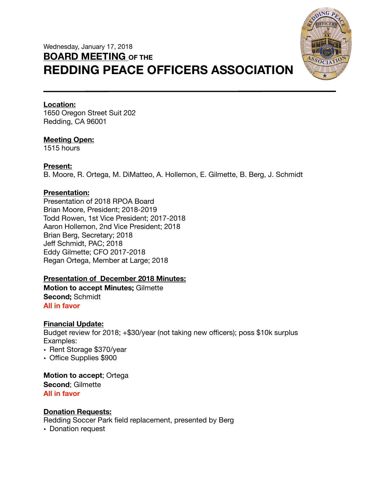# Wednesday, January 17, 2018 **BOARD MEETING OF THE REDDING PEACE OFFICERS ASSOCIATION**



#### **Location:**

1650 Oregon Street Suit 202 Redding, CA 96001

## **Meeting Open:**

1515 hours

## **Present:**

B. Moore, R. Ortega, M. DiMatteo, A. Hollemon, E. Gilmette, B. Berg, J. Schmidt

## **Presentation:**

Presentation of 2018 RPOA Board Brian Moore, President; 2018-2019 Todd Rowen, 1st Vice President; 2017-2018 Aaron Hollemon, 2nd Vice President; 2018 Brian Berg, Secretary; 2018 Jeff Schmidt, PAC; 2018 Eddy Gilmette; CFO 2017-2018 Regan Ortega, Member at Large; 2018

## **Presentation of December 2018 Minutes:**

**Motion to accept Minutes;** Gilmette **Second;** Schmidt **All in favor** 

#### **Financial Update:**

Budget review for 2018; +\$30/year (not taking new officers); poss \$10k surplus Examples:

- Rent Storage \$370/year
- Office Supplies \$900

**Motion to accept**; Ortega **Second**; Gilmette **All in favor** 

#### **Donation Requests:**

Redding Soccer Park field replacement, presented by Berg

• Donation request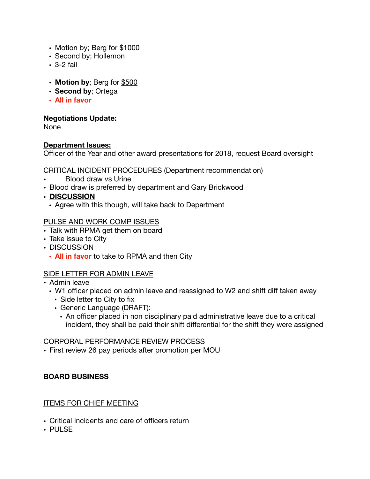- Motion by; Berg for \$1000
- Second by; Hollemon
- 3-2 fail
- **Motion by**; Berg for \$500
- **Second by**; Ortega
- **• All in favor**

#### **Negotiations Update:**

None

#### **Department Issues:**

Officer of the Year and other award presentations for 2018, request Board oversight

CRITICAL INCIDENT PROCEDURES (Department recommendation)

- Blood draw vs Urine
- Blood draw is preferred by department and Gary Brickwood
- **• DISCUSSION** 
	- Agree with this though, will take back to Department

## PULSE AND WORK COMP ISSUES

- Talk with RPMA get them on board
- Take issue to City
- DISCUSSION
	- **• All in favor** to take to RPMA and then City

## SIDE LETTER FOR ADMIN LEAVE

- Admin leave
	- W1 officer placed on admin leave and reassigned to W2 and shift diff taken away
		- Side letter to City to fix
		- Generic Language (DRAFT):
			- An officer placed in non disciplinary paid administrative leave due to a critical incident, they shall be paid their shift differential for the shift they were assigned

## CORPORAL PERFORMANCE REVIEW PROCESS

• First review 26 pay periods after promotion per MOU

## **BOARD BUSINESS**

#### ITEMS FOR CHIEF MEETING

- Critical Incidents and care of officers return
- PULSE